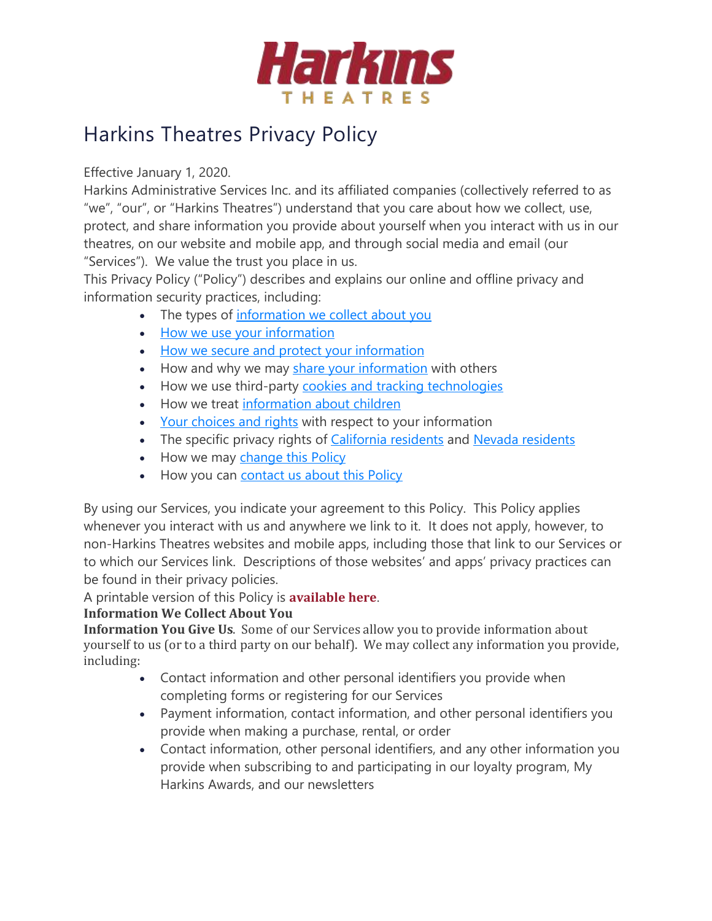

# Harkins Theatres Privacy Policy

Effective January 1, 2020.

Harkins Administrative Services Inc. and its affiliated companies (collectively referred to as "we", "our", or "Harkins Theatres") understand that you care about how we collect, use, protect, and share information you provide about yourself when you interact with us in our theatres, on our website and mobile app, and through social media and email (our "Services"). We value the trust you place in us.

This Privacy Policy ("Policy") describes and explains our online and offline privacy and information security practices, including:

- The types of [information](https://prod.harkins.com/privacy-policy#infocollect) we collect about you
- How we use your [information](https://prod.harkins.com/privacy-policy#infouse)
- How we secure and protect your [information](https://prod.harkins.com/privacy-policy#infoprotect)
- How and why we may share your [information](https://prod.harkins.com/privacy-policy#infoshare) with others
- How we use third-party cookies and tracking [technologies](https://prod.harkins.com/privacy-policy#cookies)
- How we treat [information](https://prod.harkins.com/privacy-policy#children) about children
- Your [choices](https://prod.harkins.com/privacy-policy#rights) and rights with respect to your information
- The specific privacy rights of [California](https://prod.harkins.com/privacy-policy#cali) [residents](https://prod.harkins.com/privacy-policy#nevada) and Nevada residents
- How we may [change](https://prod.harkins.com/privacy-policy#changes) this Policy
- How you can [contact](https://prod.harkins.com/privacy-policy#contact) us about this Policy

By using our Services, you indicate your agreement to this Policy. This Policy applies whenever you interact with us and anywhere we link to it. It does not apply, however, to non-Harkins Theatres websites and mobile apps, including those that link to our Services or to which our Services link. Descriptions of those websites' and apps' privacy practices can be found in their privacy policies.

A printable version of this Policy is **[available](https://prod.harkins.com/%5bdocuments%7COpenAccessDataProvider%5d530d98f4-3703-441f-a453-846e5c10091e) here**.

# **Information We Collect About You**

**Information You Give Us**. Some of our Services allow you to provide information about yourself to us (or to a third party on our behalf). We may collect any information you provide, including:

- Contact information and other personal identifiers you provide when completing forms or registering for our Services
- Payment information, contact information, and other personal identifiers you provide when making a purchase, rental, or order
- Contact information, other personal identifiers, and any other information you provide when subscribing to and participating in our loyalty program, My Harkins Awards, and our newsletters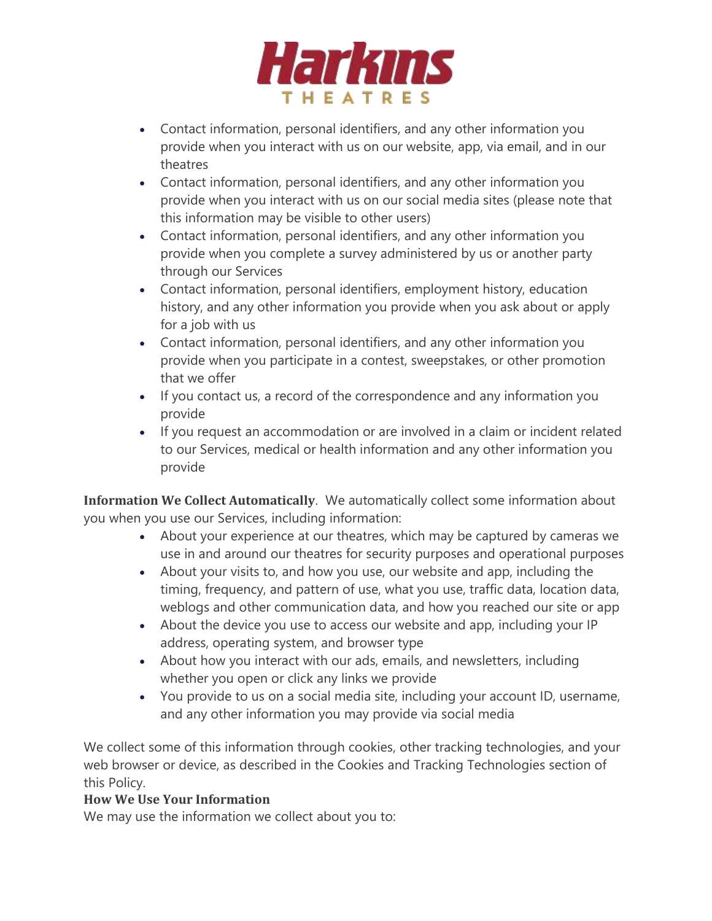

- Contact information, personal identifiers, and any other information you provide when you interact with us on our website, app, via email, and in our theatres
- Contact information, personal identifiers, and any other information you provide when you interact with us on our social media sites (please note that this information may be visible to other users)
- Contact information, personal identifiers, and any other information you provide when you complete a survey administered by us or another party through our Services
- Contact information, personal identifiers, employment history, education history, and any other information you provide when you ask about or apply for a job with us
- Contact information, personal identifiers, and any other information you provide when you participate in a contest, sweepstakes, or other promotion that we offer
- If you contact us, a record of the correspondence and any information you provide
- If you request an accommodation or are involved in a claim or incident related to our Services, medical or health information and any other information you provide

**Information We Collect Automatically**. We automatically collect some information about you when you use our Services, including information:

- About your experience at our theatres, which may be captured by cameras we use in and around our theatres for security purposes and operational purposes
- About your visits to, and how you use, our website and app, including the timing, frequency, and pattern of use, what you use, traffic data, location data, weblogs and other communication data, and how you reached our site or app
- About the device you use to access our website and app, including your IP address, operating system, and browser type
- About how you interact with our ads, emails, and newsletters, including whether you open or click any links we provide
- You provide to us on a social media site, including your account ID, username, and any other information you may provide via social media

We collect some of this information through cookies, other tracking technologies, and your web browser or device, as described in the Cookies and Tracking Technologies section of this Policy.

# **How We Use Your Information**

We may use the information we collect about you to: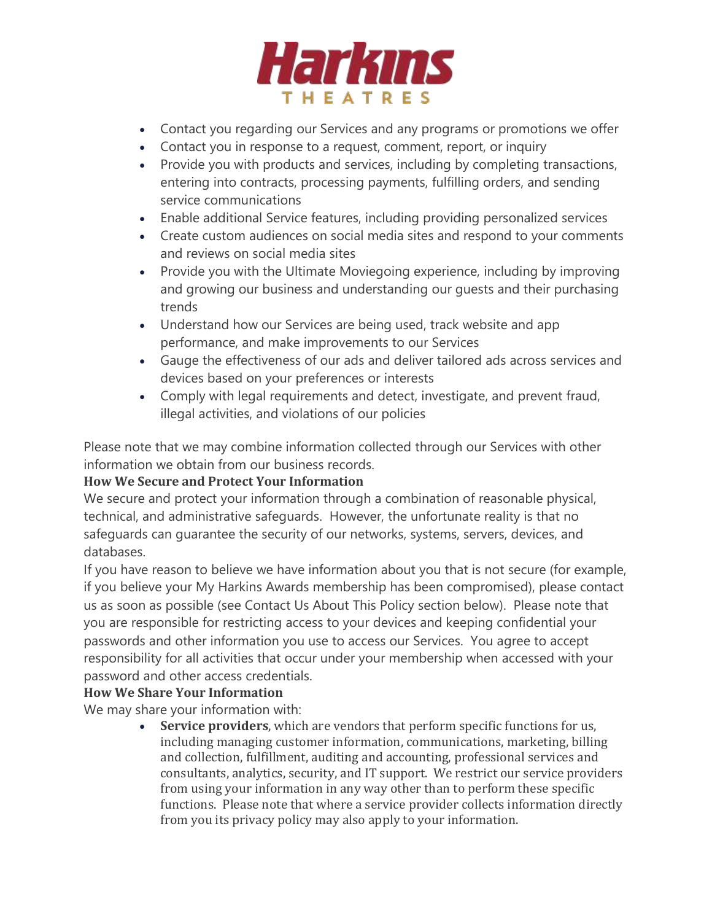

- Contact you regarding our Services and any programs or promotions we offer
- Contact you in response to a request, comment, report, or inquiry
- Provide you with products and services, including by completing transactions, entering into contracts, processing payments, fulfilling orders, and sending service communications
- Enable additional Service features, including providing personalized services
- Create custom audiences on social media sites and respond to your comments and reviews on social media sites
- Provide you with the Ultimate Moviegoing experience, including by improving and growing our business and understanding our guests and their purchasing trends
- Understand how our Services are being used, track website and app performance, and make improvements to our Services
- Gauge the effectiveness of our ads and deliver tailored ads across services and devices based on your preferences or interests
- Comply with legal requirements and detect, investigate, and prevent fraud, illegal activities, and violations of our policies

Please note that we may combine information collected through our Services with other information we obtain from our business records.

# **How We Secure and Protect Your Information**

We secure and protect your information through a combination of reasonable physical, technical, and administrative safeguards. However, the unfortunate reality is that no safeguards can guarantee the security of our networks, systems, servers, devices, and databases.

If you have reason to believe we have information about you that is not secure (for example, if you believe your My Harkins Awards membership has been compromised), please contact us as soon as possible (see Contact Us About This Policy section below). Please note that you are responsible for restricting access to your devices and keeping confidential your passwords and other information you use to access our Services. You agree to accept responsibility for all activities that occur under your membership when accessed with your password and other access credentials.

# **How We Share Your Information**

We may share your information with:

• **Service providers**, which are vendors that perform specific functions for us, including managing customer information, communications, marketing, billing and collection, fulfillment, auditing and accounting, professional services and consultants, analytics, security, and IT support. We restrict our service providers from using your information in any way other than to perform these specific functions. Please note that where a service provider collects information directly from you its privacy policy may also apply to your information.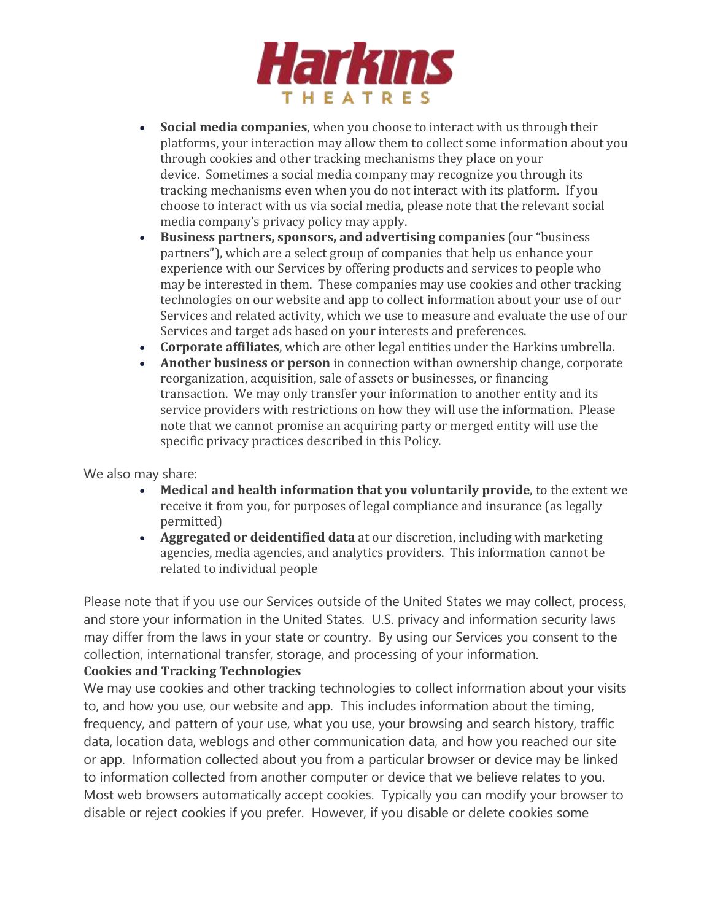

- **Social media companies**, when you choose to interact with us through their platforms, your interaction may allow them to collect some information about you through cookies and other tracking mechanisms they place on your device. Sometimes a social media company may recognize you through its tracking mechanisms even when you do not interact with its platform. If you choose to interact with us via social media, please note that the relevant social media company's privacy policy may apply.
- **Business partners, sponsors, and advertising companies** (our "business partners"), which are a select group of companies that help us enhance your experience with our Services by offering products and services to people who may be interested in them. These companies may use cookies and other tracking technologies on our website and app to collect information about your use of our Services and related activity, which we use to measure and evaluate the use of our Services and target ads based on your interests and preferences.
- **Corporate affiliates**, which are other legal entities under the Harkins umbrella.
- **Another business or person** in connection withan ownership change, corporate reorganization, acquisition, sale of assets or businesses, or financing transaction. We may only transfer your information to another entity and its service providers with restrictions on how they will use the information. Please note that we cannot promise an acquiring party or merged entity will use the specific privacy practices described in this Policy.

We also may share:

- **Medical and health information that you voluntarily provide**, to the extent we receive it from you, for purposes of legal compliance and insurance (as legally permitted)
- **Aggregated or deidentified data** at our discretion, including with marketing agencies, media agencies, and analytics providers. This information cannot be related to individual people

Please note that if you use our Services outside of the United States we may collect, process, and store your information in the United States. U.S. privacy and information security laws may differ from the laws in your state or country. By using our Services you consent to the collection, international transfer, storage, and processing of your information.

#### **Cookies and Tracking Technologies**

We may use cookies and other tracking technologies to collect information about your visits to, and how you use, our website and app. This includes information about the timing, frequency, and pattern of your use, what you use, your browsing and search history, traffic data, location data, weblogs and other communication data, and how you reached our site or app. Information collected about you from a particular browser or device may be linked to information collected from another computer or device that we believe relates to you. Most web browsers automatically accept cookies. Typically you can modify your browser to disable or reject cookies if you prefer. However, if you disable or delete cookies some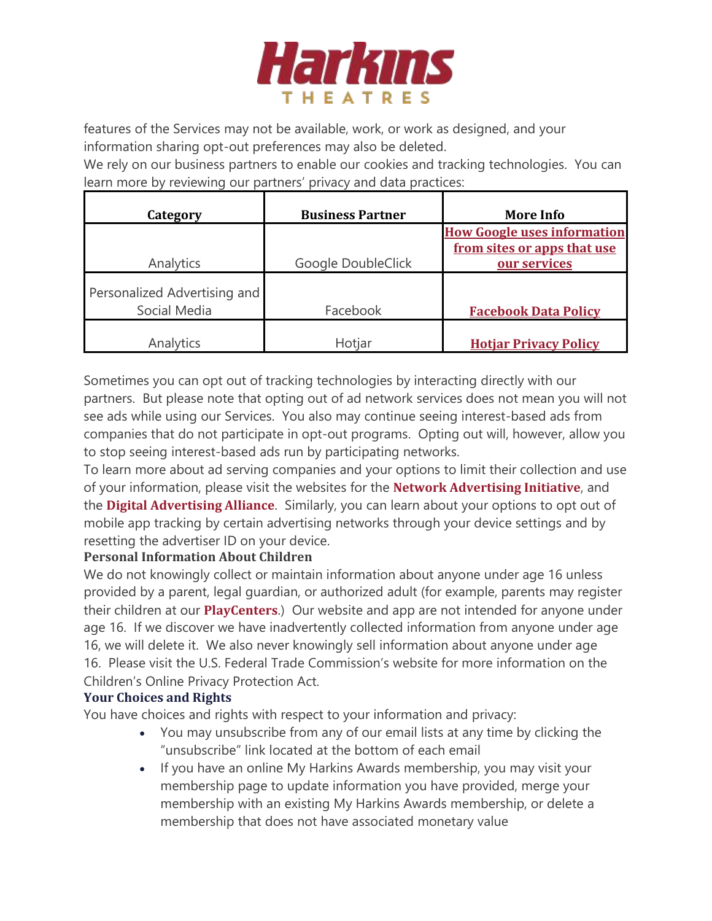

features of the Services may not be available, work, or work as designed, and your information sharing opt-out preferences may also be deleted.

We rely on our business partners to enable our cookies and tracking technologies. You can learn more by reviewing our partners' privacy and data practices:

| Category                     | <b>Business Partner</b> | <b>More Info</b>                                                  |
|------------------------------|-------------------------|-------------------------------------------------------------------|
|                              |                         | <b>How Google uses information</b><br>from sites or apps that use |
| Analytics                    | Google DoubleClick      | our services                                                      |
| Personalized Advertising and |                         |                                                                   |
| Social Media                 | Facebook                | <b>Facebook Data Policy</b>                                       |
| Analytics                    | Hotjar                  | <b>Hotiar Privacy Policy</b>                                      |

Sometimes you can opt out of tracking technologies by interacting directly with our partners. But please note that opting out of ad network services does not mean you will not see ads while using our Services. You also may continue seeing interest-based ads from companies that do not participate in opt-out programs. Opting out will, however, allow you to stop seeing interest-based ads run by participating networks.

To learn more about ad serving companies and your options to limit their collection and use of your information, please visit the websites for the **Network [Advertising](http://www.networkadvertising.org/choices/) Initiative**, and the **Digital [Advertising](http://www.aboutads.info/choices) Alliance**. Similarly, you can learn about your options to opt out of mobile app tracking by certain advertising networks through your device settings and by resetting the advertiser ID on your device.

# **Personal Information About Children**

We do not knowingly collect or maintain information about anyone under age 16 unless provided by a parent, legal guardian, or authorized adult (for example, parents may register their children at our **[PlayCenters](https://prod.harkins.com/playcenter)**.) Our website and app are not intended for anyone under age 16. If we discover we have inadvertently collected information from anyone under age 16, we will delete it. We also never knowingly sell information about anyone under age 16. Please visit the U.S. Federal Trade Commission's website for more information on the Children's Online Privacy Protection Act.

#### **Your Choices and Rights**

You have choices and rights with respect to your information and privacy:

- You may unsubscribe from any of our email lists at any time by clicking the "unsubscribe" link located at the bottom of each email
- If you have an online My Harkins Awards membership, you may visit your membership page to update information you have provided, merge your membership with an existing My Harkins Awards membership, or delete a membership that does not have associated monetary value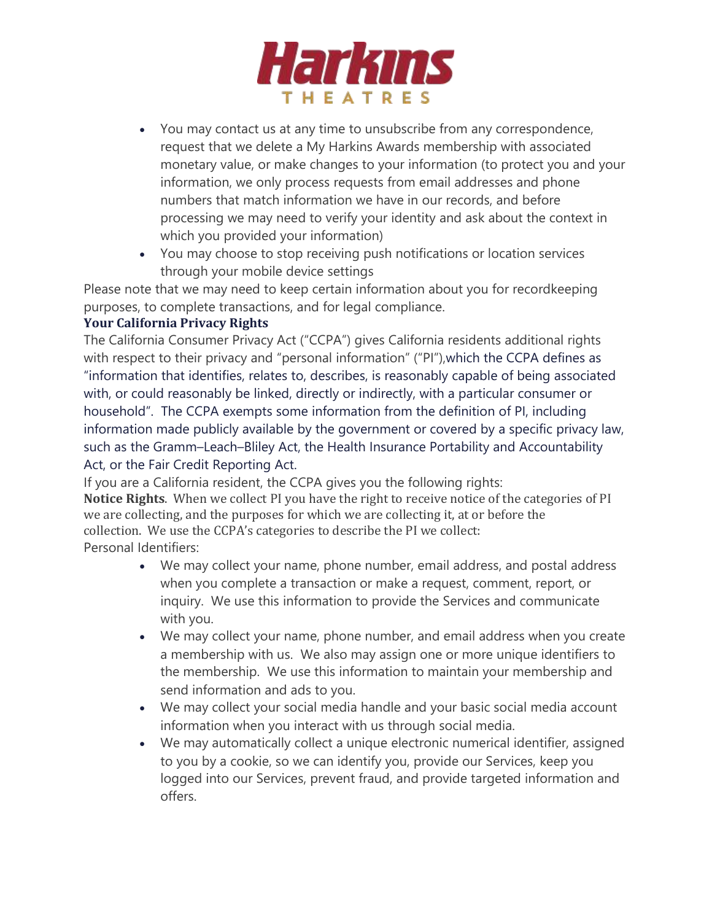

- You may contact us at any time to unsubscribe from any correspondence, request that we delete a My Harkins Awards membership with associated monetary value, or make changes to your information (to protect you and your information, we only process requests from email addresses and phone numbers that match information we have in our records, and before processing we may need to verify your identity and ask about the context in which you provided your information)
- You may choose to stop receiving push notifications or location services through your mobile device settings

Please note that we may need to keep certain information about you for recordkeeping purposes, to complete transactions, and for legal compliance.

#### **Your California Privacy Rights**

The California Consumer Privacy Act ("CCPA") gives California residents additional rights with respect to their privacy and "personal information" ("PI"), which the CCPA defines as "information that identifies, relates to, describes, is reasonably capable of being associated with, or could reasonably be linked, directly or indirectly, with a particular consumer or household". The CCPA exempts some information from the definition of PI, including information made publicly available by the government or covered by a specific privacy law, such as the Gramm–Leach–Bliley Act, the Health Insurance Portability and Accountability Act, or the Fair Credit Reporting Act.

If you are a California resident, the CCPA gives you the following rights: **Notice Rights**. When we collect PI you have the right to receive notice of the categories of PI we are collecting, and the purposes for which we are collecting it, at or before the collection. We use the CCPA's categories to describe the PI we collect: Personal Identifiers:

- We may collect your name, phone number, email address, and postal address when you complete a transaction or make a request, comment, report, or inquiry. We use this information to provide the Services and communicate with you.
- We may collect your name, phone number, and email address when you create a membership with us. We also may assign one or more unique identifiers to the membership. We use this information to maintain your membership and send information and ads to you.
- We may collect your social media handle and your basic social media account information when you interact with us through social media.
- We may automatically collect a unique electronic numerical identifier, assigned to you by a cookie, so we can identify you, provide our Services, keep you logged into our Services, prevent fraud, and provide targeted information and offers.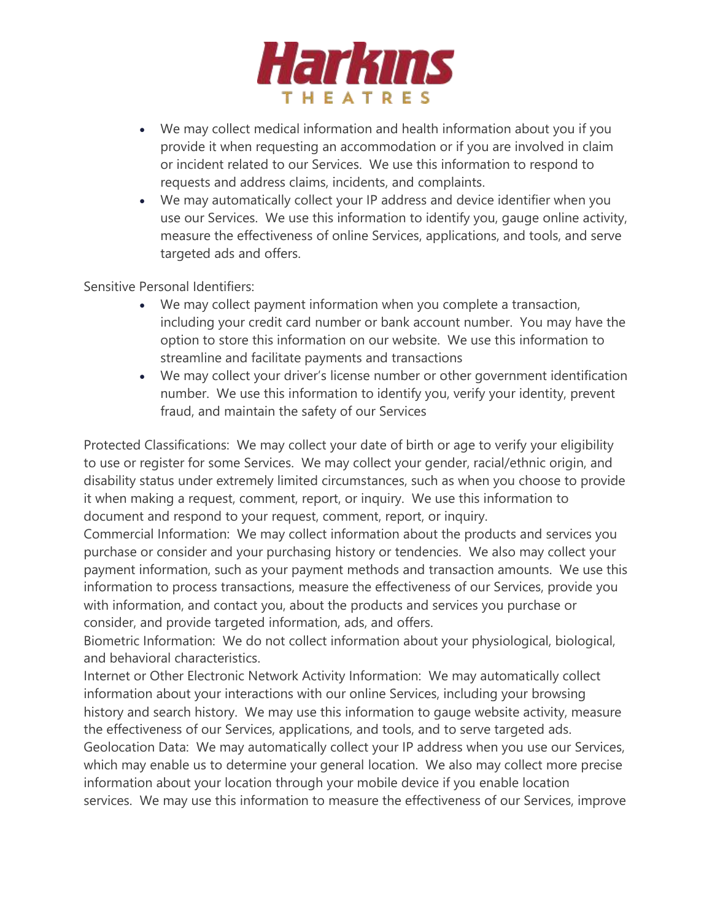

- We may collect medical information and health information about you if you provide it when requesting an accommodation or if you are involved in claim or incident related to our Services. We use this information to respond to requests and address claims, incidents, and complaints.
- We may automatically collect your IP address and device identifier when you use our Services. We use this information to identify you, gauge online activity, measure the effectiveness of online Services, applications, and tools, and serve targeted ads and offers.

Sensitive Personal Identifiers:

- We may collect payment information when you complete a transaction, including your credit card number or bank account number. You may have the option to store this information on our website. We use this information to streamline and facilitate payments and transactions
- We may collect your driver's license number or other government identification number. We use this information to identify you, verify your identity, prevent fraud, and maintain the safety of our Services

Protected Classifications: We may collect your date of birth or age to verify your eligibility to use or register for some Services. We may collect your gender, racial/ethnic origin, and disability status under extremely limited circumstances, such as when you choose to provide it when making a request, comment, report, or inquiry. We use this information to document and respond to your request, comment, report, or inquiry.

Commercial Information: We may collect information about the products and services you purchase or consider and your purchasing history or tendencies. We also may collect your payment information, such as your payment methods and transaction amounts. We use this information to process transactions, measure the effectiveness of our Services, provide you with information, and contact you, about the products and services you purchase or consider, and provide targeted information, ads, and offers.

Biometric Information: We do not collect information about your physiological, biological, and behavioral characteristics.

Internet or Other Electronic Network Activity Information: We may automatically collect information about your interactions with our online Services, including your browsing history and search history. We may use this information to gauge website activity, measure the effectiveness of our Services, applications, and tools, and to serve targeted ads.

Geolocation Data: We may automatically collect your IP address when you use our Services, which may enable us to determine your general location. We also may collect more precise information about your location through your mobile device if you enable location services. We may use this information to measure the effectiveness of our Services, improve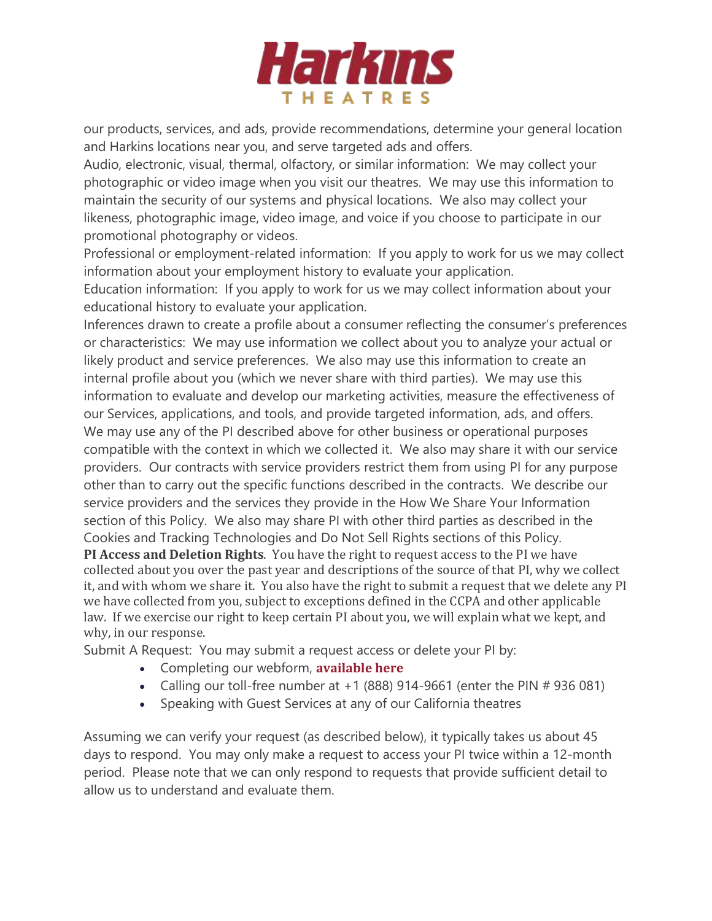

our products, services, and ads, provide recommendations, determine your general location and Harkins locations near you, and serve targeted ads and offers.

Audio, electronic, visual, thermal, olfactory, or similar information: We may collect your photographic or video image when you visit our theatres. We may use this information to maintain the security of our systems and physical locations. We also may collect your likeness, photographic image, video image, and voice if you choose to participate in our promotional photography or videos.

Professional or employment-related information: If you apply to work for us we may collect information about your employment history to evaluate your application.

Education information: If you apply to work for us we may collect information about your educational history to evaluate your application.

Inferences drawn to create a profile about a consumer reflecting the consumer's preferences or characteristics: We may use information we collect about you to analyze your actual or likely product and service preferences. We also may use this information to create an internal profile about you (which we never share with third parties). We may use this information to evaluate and develop our marketing activities, measure the effectiveness of our Services, applications, and tools, and provide targeted information, ads, and offers. We may use any of the PI described above for other business or operational purposes compatible with the context in which we collected it. We also may share it with our service providers. Our contracts with service providers restrict them from using PI for any purpose other than to carry out the specific functions described in the contracts. We describe our service providers and the services they provide in the How We Share Your Information section of this Policy. We also may share PI with other third parties as described in the Cookies and Tracking Technologies and Do Not Sell Rights sections of this Policy.

**PI Access and Deletion Rights**. You have the right to request access to the PI we have collected about you over the past year and descriptions of the source of that PI, why we collect it, and with whom we share it. You also have the right to submit a request that we delete any PI we have collected from you, subject to exceptions defined in the CCPA and other applicable law. If we exercise our right to keep certain PI about you, we will explain what we kept, and why, in our response.

Submit A Request: You may submit a request access or delete your PI by:

- Completing our webform, **[available](https://privacyportal-cdn.onetrust.com/dsarwebform/7585817c-dc02-41ab-95a5-be209d9a6c0f/6d5bae7a-abef-4683-9a99-9874f6262872.html) here**
- Calling our toll-free number at  $+1$  (888) 914-9661 (enter the PIN  $#$  936 081)
- Speaking with Guest Services at any of our California theatres

Assuming we can verify your request (as described below), it typically takes us about 45 days to respond. You may only make a request to access your PI twice within a 12-month period. Please note that we can only respond to requests that provide sufficient detail to allow us to understand and evaluate them.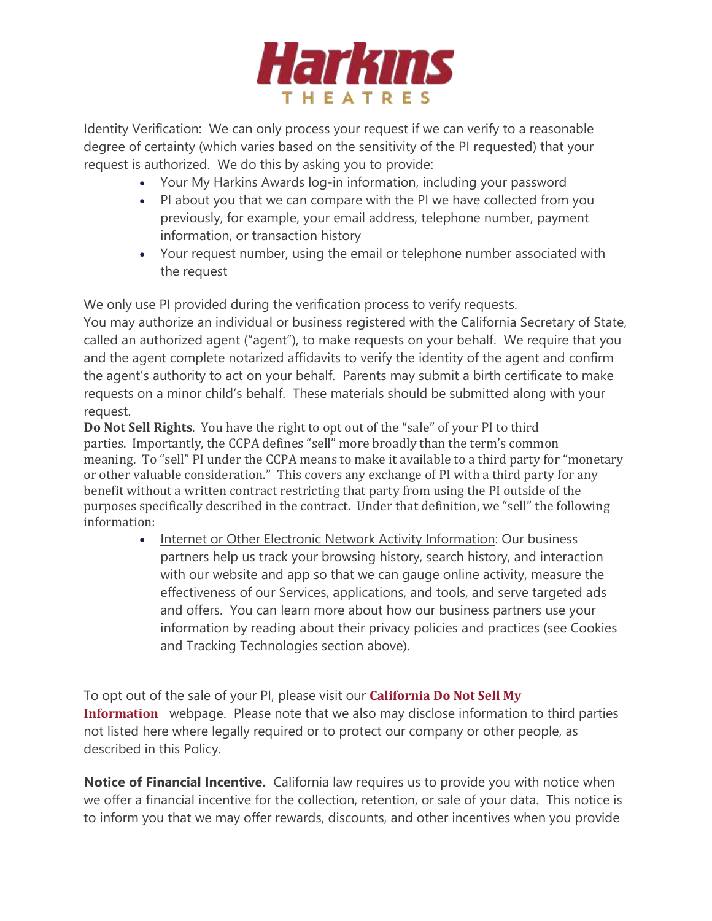

Identity Verification: We can only process your request if we can verify to a reasonable degree of certainty (which varies based on the sensitivity of the PI requested) that your request is authorized. We do this by asking you to provide:

- Your My Harkins Awards log-in information, including your password
- PI about you that we can compare with the PI we have collected from you previously, for example, your email address, telephone number, payment information, or transaction history
- Your request number, using the email or telephone number associated with the request

We only use PI provided during the verification process to verify requests. You may authorize an individual or business registered with the California Secretary of State, called an authorized agent ("agent"), to make requests on your behalf. We require that you and the agent complete notarized affidavits to verify the identity of the agent and confirm the agent's authority to act on your behalf. Parents may submit a birth certificate to make requests on a minor child's behalf. These materials should be submitted along with your request.

**Do Not Sell Rights**. You have the right to opt out of the "sale" of your PI to third parties. Importantly, the CCPA defines "sell" more broadly than the term's common meaning. To "sell" PI under the CCPA means to make it available to a third party for "monetary or other valuable consideration." This covers any exchange of PI with a third party for any benefit without a written contract restricting that party from using the PI outside of the purposes specifically described in the contract. Under that definition, we "sell" the following information:

> Internet or Other Electronic Network Activity Information: Our business partners help us track your browsing history, search history, and interaction with our website and app so that we can gauge online activity, measure the effectiveness of our Services, applications, and tools, and serve targeted ads and offers. You can learn more about how our business partners use your information by reading about their privacy policies and practices (see Cookies and Tracking Technologies section above).

To opt out of the sale of your PI, please visit our **[California](https://prod.harkins.com/dont-sell-my-info) Do Not Sell My [Information](https://prod.harkins.com/dont-sell-my-info)** webpage. Please note that we also may disclose information to third parties not listed here where legally required or to protect our company or other people, as described in this Policy.

**Notice of Financial Incentive.** California law requires us to provide you with notice when we offer a financial incentive for the collection, retention, or sale of your data. This notice is to inform you that we may offer rewards, discounts, and other incentives when you provide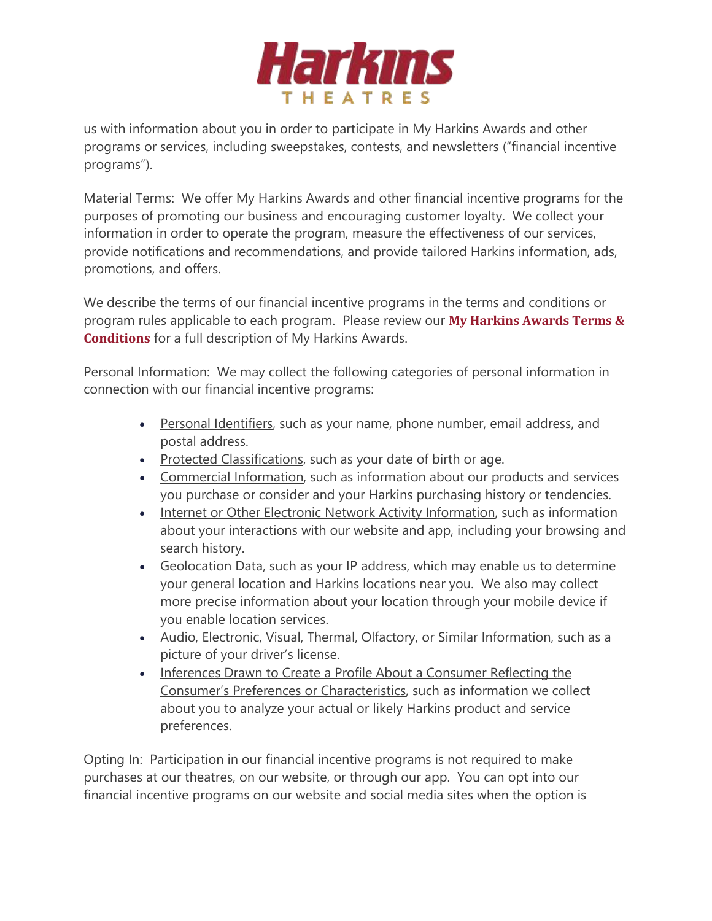

us with information about you in order to participate in My Harkins Awards and other programs or services, including sweepstakes, contests, and newsletters ("financial incentive programs").

Material Terms: We offer My Harkins Awards and other financial incentive programs for the purposes of promoting our business and encouraging customer loyalty. We collect your information in order to operate the program, measure the effectiveness of our services, provide notifications and recommendations, and provide tailored Harkins information, ads, promotions, and offers.

We describe the terms of our financial incentive programs in the terms and conditions or program rules applicable to each program. Please review our **My [Harkins](https://prod.harkins.com/mha-terms-conditions) Awards Terms & [Conditions](https://prod.harkins.com/mha-terms-conditions)** for a full description of My Harkins Awards.

Personal Information: We may collect the following categories of personal information in connection with our financial incentive programs:

- Personal Identifiers, such as your name, phone number, email address, and postal address.
- Protected Classifications, such as your date of birth or age.
- Commercial Information, such as information about our products and services you purchase or consider and your Harkins purchasing history or tendencies.
- Internet or Other Electronic Network Activity Information, such as information about your interactions with our website and app, including your browsing and search history.
- Geolocation Data, such as your IP address, which may enable us to determine your general location and Harkins locations near you. We also may collect more precise information about your location through your mobile device if you enable location services.
- Audio, Electronic, Visual, Thermal, Olfactory, or Similar Information, such as a picture of your driver's license.
- Inferences Drawn to Create a Profile About a Consumer Reflecting the Consumer's Preferences or Characteristics, such as information we collect about you to analyze your actual or likely Harkins product and service preferences.

Opting In: Participation in our financial incentive programs is not required to make purchases at our theatres, on our website, or through our app. You can opt into our financial incentive programs on our website and social media sites when the option is